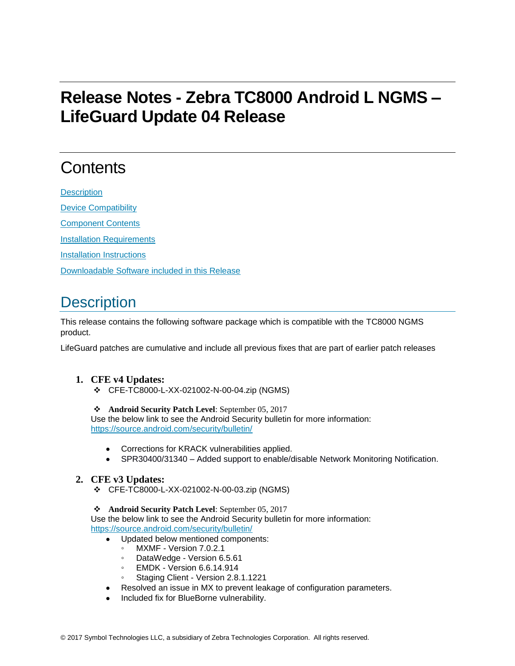# **Release Notes - Zebra TC8000 Android L NGMS – LifeGuard Update 04 Release**

# **Contents**

**[Description](#page-0-0)** [Device Compatibility](#page-1-0) [Component Contents](#page-2-0) [Installation Requirements](#page-2-1) [Installation Instructions](#page-2-2) [Downloadable Software included in this Release](#page-3-0)

# <span id="page-0-0"></span>**Description**

This release contains the following software package which is compatible with the TC8000 NGMS product.

LifeGuard patches are cumulative and include all previous fixes that are part of earlier patch releases

### **1. CFE v4 Updates:**

❖ CFE-TC8000-L-XX-021002-N-00-04.zip (NGMS)

### ❖ **Android Security Patch Level**: September 05, 2017

Use the below link to see the Android Security bulletin for more information: <https://source.android.com/security/bulletin/>

- Corrections for KRACK vulnerabilities applied.
- SPR30400/31340 Added support to enable/disable Network Monitoring Notification.

### **2. CFE v3 Updates:**

❖ CFE-TC8000-L-XX-021002-N-00-03.zip (NGMS)

❖ **Android Security Patch Level**: September 05, 2017

Use the below link to see the Android Security bulletin for more information: <https://source.android.com/security/bulletin/>

- Updated below mentioned components:
	- MXMF Version 7.0.2.1
	- DataWedge Version 6.5.61
	- EMDK Version 6.6.14.914
	- Staging Client Version 2.8.1.1221
- Resolved an issue in MX to prevent leakage of configuration parameters.
- Included fix for BlueBorne vulnerability.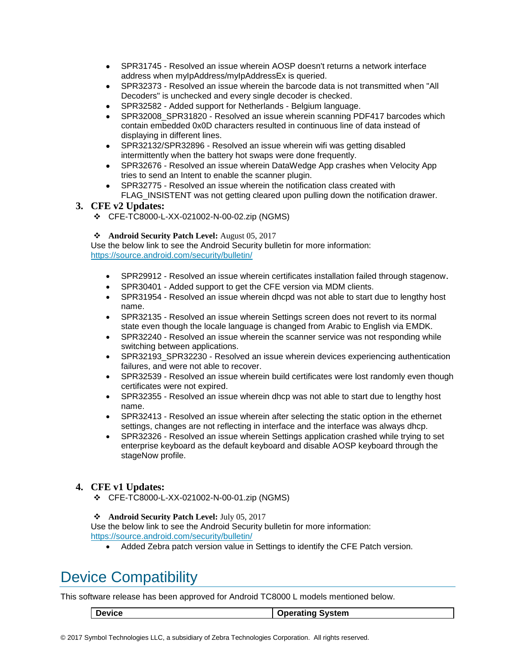- SPR31745 Resolved an issue wherein AOSP doesn't returns a network interface address when myIpAddress/myIpAddressEx is queried.
- SPR32373 Resolved an issue wherein the barcode data is not transmitted when "All Decoders" is unchecked and every single decoder is checked.
- SPR32582 Added support for Netherlands Belgium language.
- SPR32008 SPR31820 Resolved an issue wherein scanning PDF417 barcodes which contain embedded 0x0D characters resulted in continuous line of data instead of displaying in different lines.
- SPR32132/SPR32896 Resolved an issue wherein wifi was getting disabled intermittently when the battery hot swaps were done frequently.
- SPR32676 Resolved an issue wherein DataWedge App crashes when Velocity App tries to send an Intent to enable the scanner plugin.
- SPR32775 Resolved an issue wherein the notification class created with FLAG INSISTENT was not getting cleared upon pulling down the notification drawer.

### **3. CFE v2 Updates:**

❖ CFE-TC8000-L-XX-021002-N-00-02.zip (NGMS)

### ❖ **Android Security Patch Level:** August 05, 2017

Use the below link to see the Android Security bulletin for more information: <https://source.android.com/security/bulletin/>

- SPR29912 Resolved an issue wherein certificates installation failed through stagenow.
- <span id="page-1-0"></span>SPR30401 - Added support to get the CFE version via MDM clients.
- SPR31954 Resolved an issue wherein dhcpd was not able to start due to lengthy host name.
- SPR32135 Resolved an issue wherein Settings screen does not revert to its normal state even though the locale language is changed from Arabic to English via EMDK.
- SPR32240 Resolved an issue wherein the scanner service was not responding while switching between applications.
- SPR32193\_SPR32230 Resolved an issue wherein devices experiencing authentication failures, and were not able to recover.
- SPR32539 Resolved an issue wherein build certificates were lost randomly even though certificates were not expired.
- SPR32355 Resolved an issue wherein dhcp was not able to start due to lengthy host name.
- SPR32413 Resolved an issue wherein after selecting the static option in the ethernet settings, changes are not reflecting in interface and the interface was always dhcp.
- SPR32326 Resolved an issue wherein Settings application crashed while trying to set enterprise keyboard as the default keyboard and disable AOSP keyboard through the stageNow profile.

### **4. CFE v1 Updates:**

❖ CFE-TC8000-L-XX-021002-N-00-01.zip (NGMS)

#### ❖ **Android Security Patch Level:** July 05, 2017

Use the below link to see the Android Security bulletin for more information: <https://source.android.com/security/bulletin/>

• Added Zebra patch version value in Settings to identify the CFE Patch version.

## Device Compatibility

This software release has been approved for Android TC8000 L models mentioned below.

| Device | Operating System |
|--------|------------------|
|        |                  |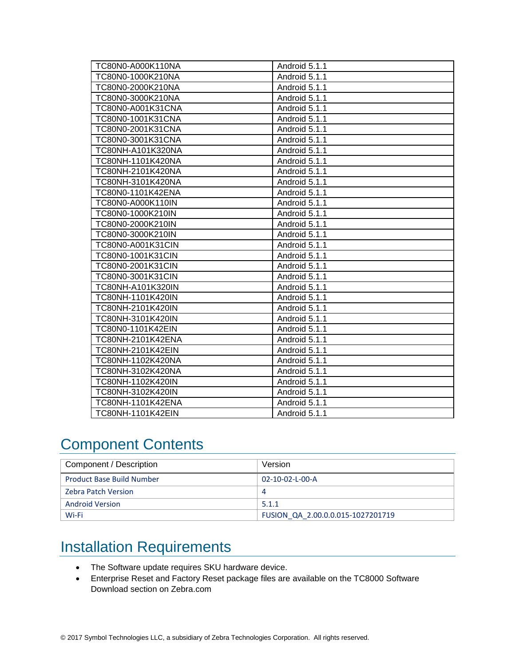| TC80N0-A000K110NA | Android 5.1.1 |
|-------------------|---------------|
| TC80N0-1000K210NA | Android 5.1.1 |
| TC80N0-2000K210NA | Android 5.1.1 |
| TC80N0-3000K210NA | Android 5.1.1 |
| TC80N0-A001K31CNA | Android 5.1.1 |
| TC80N0-1001K31CNA | Android 5.1.1 |
| TC80N0-2001K31CNA | Android 5.1.1 |
| TC80N0-3001K31CNA | Android 5.1.1 |
| TC80NH-A101K320NA | Android 5.1.1 |
| TC80NH-1101K420NA | Android 5.1.1 |
| TC80NH-2101K420NA | Android 5.1.1 |
| TC80NH-3101K420NA | Android 5.1.1 |
| TC80N0-1101K42ENA | Android 5.1.1 |
| TC80N0-A000K110IN | Android 5.1.1 |
| TC80N0-1000K210IN | Android 5.1.1 |
| TC80N0-2000K210IN | Android 5.1.1 |
| TC80N0-3000K210IN | Android 5.1.1 |
| TC80N0-A001K31CIN | Android 5.1.1 |
| TC80N0-1001K31CIN | Android 5.1.1 |
| TC80N0-2001K31CIN | Android 5.1.1 |
| TC80N0-3001K31CIN | Android 5.1.1 |
| TC80NH-A101K320IN | Android 5.1.1 |
| TC80NH-1101K420IN | Android 5.1.1 |
| TC80NH-2101K420IN | Android 5.1.1 |
| TC80NH-3101K420IN | Android 5.1.1 |
| TC80N0-1101K42EIN | Android 5.1.1 |
| TC80NH-2101K42ENA | Android 5.1.1 |
| TC80NH-2101K42EIN | Android 5.1.1 |
| TC80NH-1102K420NA | Android 5.1.1 |
| TC80NH-3102K420NA | Android 5.1.1 |
| TC80NH-1102K420IN | Android 5.1.1 |
| TC80NH-3102K420IN | Android 5.1.1 |
| TC80NH-1101K42ENA | Android 5.1.1 |
| TC80NH-1101K42EIN | Android 5.1.1 |

## <span id="page-2-0"></span>Component Contents

| Component / Description          | Version                           |
|----------------------------------|-----------------------------------|
| <b>Product Base Build Number</b> | $02 - 10 - 02 - 1 - 00 - A$       |
| <b>Zebra Patch Version</b>       | 4                                 |
| <b>Android Version</b>           | 5.1.1                             |
| Wi-Fi                            | FUSION QA 2.00.0.0.015-1027201719 |

# <span id="page-2-1"></span>Installation Requirements

- <span id="page-2-2"></span>• The Software update requires SKU hardware device.
- Enterprise Reset and Factory Reset package files are available on the TC8000 Software Download section on Zebra.com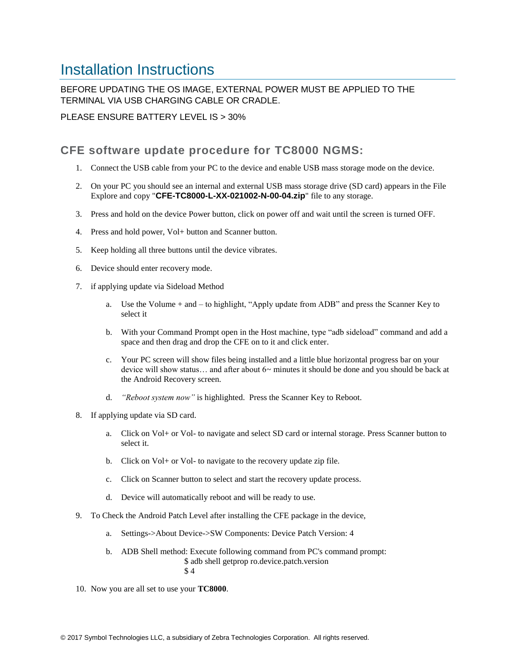## Installation Instructions

### BEFORE UPDATING THE OS IMAGE, EXTERNAL POWER MUST BE APPLIED TO THE TERMINAL VIA USB CHARGING CABLE OR CRADLE.

PLEASE ENSURE BATTERY LEVEL IS > 30%

### CFE software update procedure for TC8000 NGMS:

- 1. Connect the USB cable from your PC to the device and enable USB mass storage mode on the device.
- 2. On your PC you should see an internal and external USB mass storage drive (SD card) appears in the File Explore and copy "**CFE-TC8000-L-XX-021002-N-00-04.zip**" file to any storage.
- 3. Press and hold on the device Power button, click on power off and wait until the screen is turned OFF.
- 4. Press and hold power, Vol+ button and Scanner button.
- 5. Keep holding all three buttons until the device vibrates.
- 6. Device should enter recovery mode.
- 7. if applying update via Sideload Method
	- a. Use the Volume + and to highlight, "Apply update from ADB" and press the Scanner Key to select it
	- b. With your Command Prompt open in the Host machine, type "adb sideload" command and add a space and then drag and drop the CFE on to it and click enter.
	- c. Your PC screen will show files being installed and a little blue horizontal progress bar on your device will show status… and after about 6~ minutes it should be done and you should be back at the Android Recovery screen.
	- d. *"Reboot system now"* is highlighted. Press the Scanner Key to Reboot.
- 8. If applying update via SD card.
	- a. Click on Vol+ or Vol- to navigate and select SD card or internal storage. Press Scanner button to select it.
	- b. Click on Vol+ or Vol- to navigate to the recovery update zip file.
	- c. Click on Scanner button to select and start the recovery update process.
	- d. Device will automatically reboot and will be ready to use.
- 9. To Check the Android Patch Level after installing the CFE package in the device,
	- a. Settings->About Device->SW Components: Device Patch Version: 4
	- b. ADB Shell method: Execute following command from PC's command prompt: \$ adb shell getprop ro.device.patch.version \$ 4
- <span id="page-3-0"></span>10. Now you are all set to use your **TC8000**.